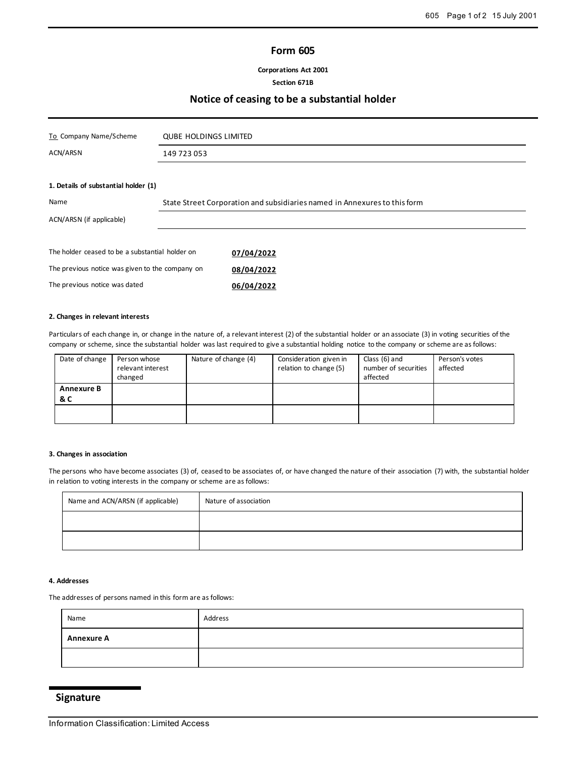## **Form 605**

**Corporations Act 2001**

## **Section 671B**

## **Notice of ceasing to be a substantial holder**

| To Company Name/Scheme                          | <b>QUBE HOLDINGS LIMITED</b>                                              |            |
|-------------------------------------------------|---------------------------------------------------------------------------|------------|
| ACN/ARSN                                        | 149 723 053                                                               |            |
|                                                 |                                                                           |            |
| 1. Details of substantial holder (1)            |                                                                           |            |
| Name                                            | State Street Corporation and subsidiaries named in Annexures to this form |            |
| ACN/ARSN (if applicable)                        |                                                                           |            |
|                                                 |                                                                           |            |
| The holder ceased to be a substantial holder on |                                                                           | 07/04/2022 |
| The previous notice was given to the company on |                                                                           | 08/04/2022 |
| The previous notice was dated                   |                                                                           | 06/04/2022 |

### **2. Changes in relevant interests**

Particulars of each change in, or change in the nature of, a relevant interest (2) of the substantial holder or an associate (3) in voting securities of the company or scheme, since the substantial holder was last required to give a substantial holding notice to the company or scheme are as follows:

| Date of change           | Person whose<br>relevant interest<br>changed | Nature of change (4) | Consideration given in<br>relation to change (5) | Class (6) and<br>number of securities<br>affected | Person's votes<br>affected |
|--------------------------|----------------------------------------------|----------------------|--------------------------------------------------|---------------------------------------------------|----------------------------|
| <b>Annexure B</b><br>& C |                                              |                      |                                                  |                                                   |                            |
|                          |                                              |                      |                                                  |                                                   |                            |

### **3. Changes in association**

The persons who have become associates (3) of, ceased to be associates of, or have changed the nature of their association (7) with, the substantial holder in relation to voting interests in the company or scheme are as follows:

| Name and ACN/ARSN (if applicable) | Nature of association |
|-----------------------------------|-----------------------|
|                                   |                       |
|                                   |                       |

## **4. Addresses**

The addresses of persons named in this form are as follows:

| Name              | Address |
|-------------------|---------|
| <b>Annexure A</b> |         |
|                   |         |

# **Signature**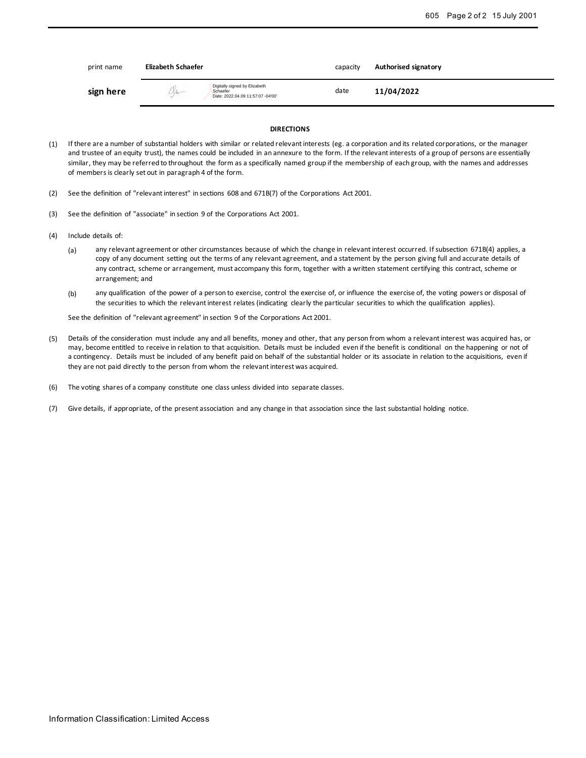| print name | Elizabeth Schaefer                                                                    | capacity | Authorised signatory |
|------------|---------------------------------------------------------------------------------------|----------|----------------------|
| sign here  | Digitally signed by Elizabeth<br>Kh-<br>Schaefer<br>Date: 2022.04.09 11:57:07 -04'00' | date     | 11/04/2022           |

#### **DIRECTIONS**

- (1) If there are a number of substantial holders with similar or related relevant interests (eg. a corporation and its related corporations, or the manager and trustee of an equity trust), the names could be included in an annexure to the form. If the relevant interests of a group of persons are essentially similar, they may be referred to throughout the form as a specifically named group if the membership of each group, with the names and addresses of members is clearly set out in paragraph 4 of the form.
- (2) See the definition of "relevant interest" in sections 608 and 671B(7) of the Corporations Act 2001.
- (3) See the definition of "associate" in section 9 of the Corporations Act 2001.
- (4) Include details of:
	- (a) any relevant agreement or other circumstances because of which the change in relevant interest occurred. If subsection 671B(4) applies, a copy of any document setting out the terms of any relevant agreement, and a statement by the person giving full and accurate details of any contract, scheme or arrangement, must accompany this form, together with a written statement certifying this contract, scheme or arrangement; and
	- (b) any qualification of the power of a person to exercise, control the exercise of, or influence the exercise of, the voting powers or disposal of the securities to which the relevant interest relates (indicating clearly the particular securities to which the qualification applies).

See the definition of "relevant agreement" in section 9 of the Corporations Act 2001.

- (5) Details of the consideration must include any and all benefits, money and other, that any person from whom a relevant interest was acquired has, or may, become entitled to receive in relation to that acquisition. Details must be included even if the benefit is conditional on the happening or not of a contingency. Details must be included of any benefit paid on behalf of the substantial holder or its associate in relation to the acquisitions, even if they are not paid directly to the person from whom the relevant interest was acquired.
- (6) The voting shares of a company constitute one class unless divided into separate classes.
- (7) Give details, if appropriate, of the present association and any change in that association since the last substantial holding notice.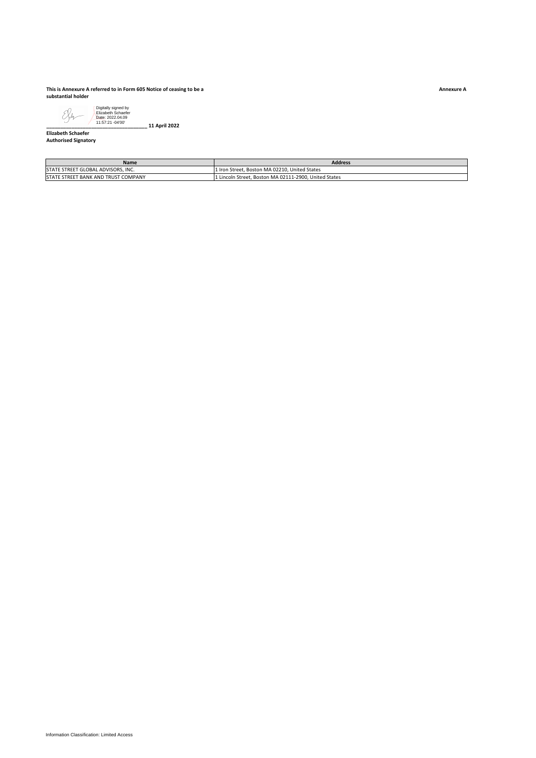#### **This is Annexure A referred to in Form 605 Notice of ceasing to be a substantial holder**



**\_\_\_\_\_\_\_\_\_\_\_\_\_\_\_\_\_\_\_\_\_\_\_\_\_\_\_\_\_\_\_\_\_\_\_\_ 11 April 2022**

#### **Elizabeth Schaefer Authorised Signatory**

| <b>Name</b>                         | <b>Address</b>                                        |
|-------------------------------------|-------------------------------------------------------|
| STATE STREET GLOBAL ADVISORS. INC.  | 1 Iron Street. Boston MA 02210. United States         |
| STATE STREET BANK AND TRUST COMPANY | 1 Lincoln Street, Boston MA 02111-2900, United States |

**Annexure A**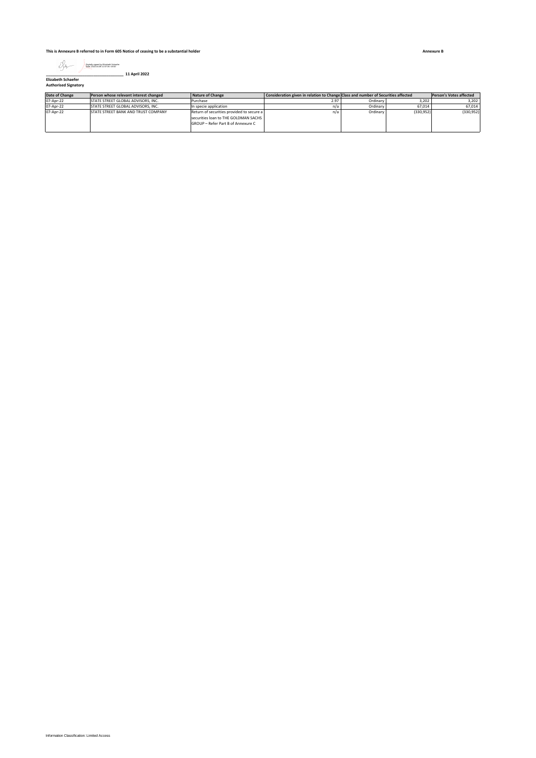**This is Annexure B referred to in Form 605 Notice of ceasing to be a substantial holder**



| Date of Change | Person whose relevant interest changed | Nature of Change                                                                                                        | Consideration given in relation to Change Class and number of Securities affected |          |           | Person's Votes affected |
|----------------|----------------------------------------|-------------------------------------------------------------------------------------------------------------------------|-----------------------------------------------------------------------------------|----------|-----------|-------------------------|
| 07-Apr-22      | STATE STREET GLOBAL ADVISORS. INC.     | Purchase                                                                                                                | 2.97                                                                              | Ordinary | 3.202     | 3.202                   |
| 07-Apr-22      | STATE STREET GLOBAL ADVISORS. INC.     | In specie application                                                                                                   | n/a                                                                               | Ordinary | 67.014    | 67,014                  |
| 07-Apr-22      | STATE STREET BANK AND TRUST COMPANY    | Return of securities provided to secure a<br>securities loan to THE GOLDMAN SACHS<br>GROUP - Refer Part B of Annexure C | n/a                                                                               | Ordinary | (330.952) | (330, 952)              |

**Annexure B**